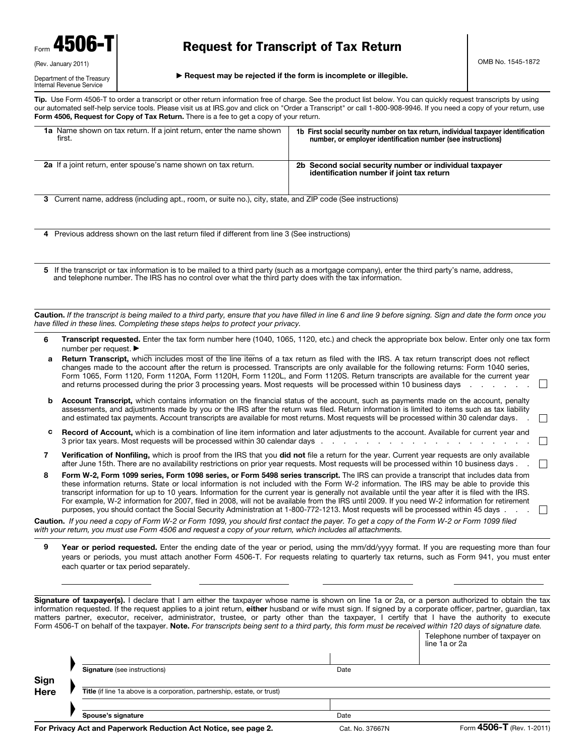| 4506<br>Form        |  |  |  |
|---------------------|--|--|--|
| (Rev. January 2011) |  |  |  |

#### Department of the Treasury Internal Revenue Service

# Request for Transcript of Tax Return

#### $\blacktriangleright$  Request may be rejected if the form is incomplete or illegible.

Tip. Use Form 4506-T to order a transcript or other return information free of charge. See the product list below. You can quickly request transcripts by using our automated self-help service tools. Please visit us at IRS.gov and click on "Order a Transcript" or call 1-800-908-9946. If you need a copy of your return, use Form 4506, Request for Copy of Tax Return. There is a fee to get a copy of your return.

| <b>1a</b> Name shown on tax return. If a joint return, enter the name shown<br>first.                      | 1b First social security number on tax return, individual taxpayer identification<br>number, or employer identification number (see instructions) |  |
|------------------------------------------------------------------------------------------------------------|---------------------------------------------------------------------------------------------------------------------------------------------------|--|
| 2a If a joint return, enter spouse's name shown on tax return.                                             | 2b Second social security number or individual taxpayer<br>identification number if joint tax return                                              |  |
| 3 Current name, address (including apt., room, or suite no.), city, state, and ZIP code (See instructions) |                                                                                                                                                   |  |

4 Previous address shown on the last return filed if different from line 3 (See instructions)

5 If the transcript or tax information is to be mailed to a third party (such as a mortgage company), enter the third party's name, address, and telephone number. The IRS has no control over what the third party does with the tax information.

Caution. *If the transcript is being mailed to a third party, ensure that you have filled in line 6 and line 9 before signing. Sign and date the form once you have filled in these lines. Completing these steps helps to protect your privacy.*

6 Transcript requested. Enter the tax form number here (1040, 1065, 1120, etc.) and check the appropriate box below. Enter only one tax form number per request. ▶

| a Return Transcript, which includes most of the line items of a tax return as filed with the IRS. A tax return transcript does not reflect |                          |
|--------------------------------------------------------------------------------------------------------------------------------------------|--------------------------|
| changes made to the account after the return is processed. Transcripts are only available for the following returns: Form 1040 series,     |                          |
| Form 1065, Form 1120, Form 1120A, Form 1120H, Form 1120L, and Form 1120S. Return transcripts are available for the current year            | $\overline{\phantom{0}}$ |
| and returns processed during the prior 3 processing years. Most requests will be processed within 10 business days                         |                          |
|                                                                                                                                            |                          |

- **b** Account Transcript, which contains information on the financial status of the account, such as payments made on the account, penalty assessments, and adjustments made by you or the IRS after the return was filed. Return information is limited to items such as tax liability and estimated tax payments. Account transcripts are available for most returns. Most requests will be processed within 30 calendar days. .  $\Box$
- c Record of Account, which is a combination of line item information and later adjustments to the account. Available for current year and 3 prior tax years. Most requests will be processed within 30 calendar days .  $\mathbb{R}^n$
- 7 Verification of Nonfiling, which is proof from the IRS that you did not file a return for the year. Current year requests are only available after June 15th. There are no availability restrictions on prior year requests. Most requests will be processed within 10 business days . .
- 8 Form W-2, Form 1099 series, Form 1098 series, or Form 5498 series transcript. The IRS can provide a transcript that includes data from these information returns. State or local information is not included with the Form W-2 information. The IRS may be able to provide this transcript information for up to 10 years. Information for the current year is generally not available until the year after it is filed with the IRS. For example, W-2 information for 2007, filed in 2008, will not be available from the IRS until 2009. If you need W-2 information for retirement purposes, you should contact the Social Security Administration at 1-800-772-1213. Most requests will be processed within 45 days .  $\Box$

Caution. *If you need a copy of Form W-2 or Form 1099, you should first contact the payer. To get a copy of the Form W-2 or Form 1099 filed with your return, you must use Form 4506 and request a copy of your return, which includes all attachments.* 

9 Year or period requested. Enter the ending date of the year or period, using the mm/dd/yyyy format. If you are requesting more than four years or periods, you must attach another Form 4506-T. For requests relating to quarterly tax returns, such as Form 941, you must enter each quarter or tax period separately.

Signature of taxpayer(s). I declare that I am either the taxpayer whose name is shown on line 1a or 2a, or a person authorized to obtain the tax information requested. If the request applies to a joint return, either husband or wife must sign. If signed by a corporate officer, partner, guardian, tax matters partner, executor, receiver, administrator, trustee, or party other than the taxpayer, I certify that I have the authority to execute Form 4506-T on behalf of the taxpayer. Note. *For transcripts being sent to a third party, this form must be received within 120 days of signature date.*

|      |                                                                          |      | $ \sqrt{200}$ $\overline{T}$ $\sqrt{201}$        |
|------|--------------------------------------------------------------------------|------|--------------------------------------------------|
|      | Spouse's signature                                                       | Date |                                                  |
| Here | Title (if line 1a above is a corporation, partnership, estate, or trust) |      |                                                  |
| Sign |                                                                          |      |                                                  |
|      | <b>Signature</b> (see instructions)                                      | Date |                                                  |
|      |                                                                          |      |                                                  |
|      |                                                                          |      | Telephone number of taxpayer on<br>line 1a or 2a |